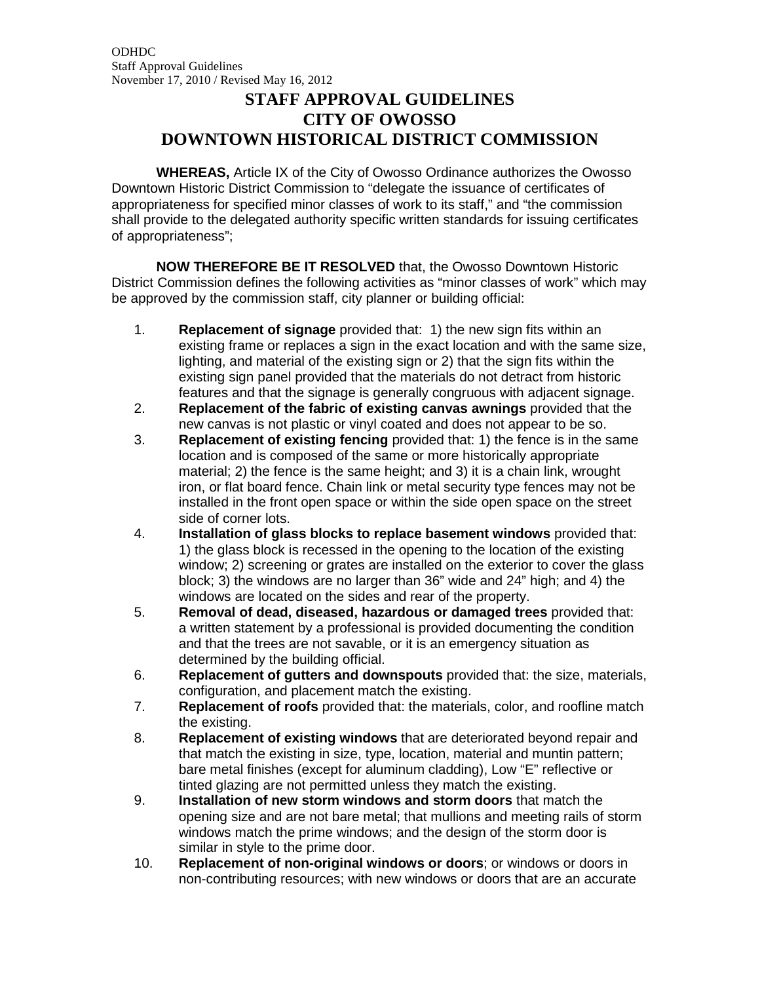## **STAFF APPROVAL GUIDELINES CITY OF OWOSSO DOWNTOWN HISTORICAL DISTRICT COMMISSION**

**WHEREAS,** Article IX of the City of Owosso Ordinance authorizes the Owosso Downtown Historic District Commission to "delegate the issuance of certificates of appropriateness for specified minor classes of work to its staff," and "the commission shall provide to the delegated authority specific written standards for issuing certificates of appropriateness";

**NOW THEREFORE BE IT RESOLVED** that, the Owosso Downtown Historic District Commission defines the following activities as "minor classes of work" which may be approved by the commission staff, city planner or building official:

- 1. **Replacement of signage** provided that: 1) the new sign fits within an existing frame or replaces a sign in the exact location and with the same size, lighting, and material of the existing sign or 2) that the sign fits within the existing sign panel provided that the materials do not detract from historic features and that the signage is generally congruous with adjacent signage.
- 2. **Replacement of the fabric of existing canvas awnings** provided that the new canvas is not plastic or vinyl coated and does not appear to be so.
- 3. **Replacement of existing fencing** provided that: 1) the fence is in the same location and is composed of the same or more historically appropriate material; 2) the fence is the same height; and 3) it is a chain link, wrought iron, or flat board fence. Chain link or metal security type fences may not be installed in the front open space or within the side open space on the street side of corner lots.
- 4. **Installation of glass blocks to replace basement windows** provided that: 1) the glass block is recessed in the opening to the location of the existing window; 2) screening or grates are installed on the exterior to cover the glass block; 3) the windows are no larger than 36" wide and 24" high; and 4) the windows are located on the sides and rear of the property.
- 5. **Removal of dead, diseased, hazardous or damaged trees** provided that: a written statement by a professional is provided documenting the condition and that the trees are not savable, or it is an emergency situation as determined by the building official.
- 6. **Replacement of gutters and downspouts** provided that: the size, materials, configuration, and placement match the existing.
- 7. **Replacement of roofs** provided that: the materials, color, and roofline match the existing.
- 8. **Replacement of existing windows** that are deteriorated beyond repair and that match the existing in size, type, location, material and muntin pattern; bare metal finishes (except for aluminum cladding), Low "E" reflective or tinted glazing are not permitted unless they match the existing.
- 9. **Installation of new storm windows and storm doors** that match the opening size and are not bare metal; that mullions and meeting rails of storm windows match the prime windows; and the design of the storm door is similar in style to the prime door.
- 10. **Replacement of non-original windows or doors**; or windows or doors in non-contributing resources; with new windows or doors that are an accurate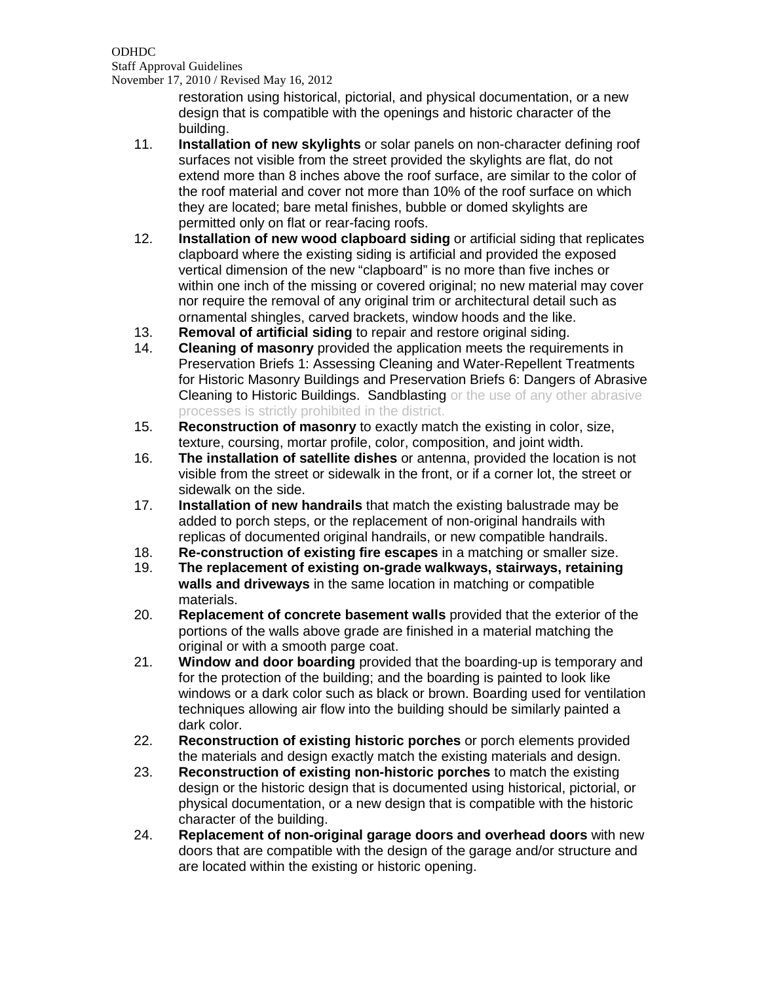ODHDC Staff Approval Guidelines November 17, 2010 / Revised May 16, 2012

> restoration using historical, pictorial, and physical documentation, or a new design that is compatible with the openings and historic character of the building.

- 11. **Installation of new skylights** or solar panels on non-character defining roof surfaces not visible from the street provided the skylights are flat, do not extend more than 8 inches above the roof surface, are similar to the color of the roof material and cover not more than 10% of the roof surface on which they are located; bare metal finishes, bubble or domed skylights are permitted only on flat or rear-facing roofs.
- 12. **Installation of new wood clapboard siding** or artificial siding that replicates clapboard where the existing siding is artificial and provided the exposed vertical dimension of the new "clapboard" is no more than five inches or within one inch of the missing or covered original; no new material may cover nor require the removal of any original trim or architectural detail such as ornamental shingles, carved brackets, window hoods and the like.
- 13. **Removal of artificial siding** to repair and restore original siding.
- **Cleaning of masonry** provided the application meets the requirements in Preservation Briefs 1: Assessing Cleaning and Water-Repellent Treatments for Historic Masonry Buildings and Preservation Briefs 6: Dangers of Abrasive Cleaning to Historic Buildings. Sandblasting or the use of any other abrasive processes is strictly prohibited in the district.
- 15. **Reconstruction of masonry** to exactly match the existing in color, size, texture, coursing, mortar profile, color, composition, and joint width.
- 16. **The installation of satellite dishes** or antenna, provided the location is not visible from the street or sidewalk in the front, or if a corner lot, the street or sidewalk on the side.
- 17. **Installation of new handrails** that match the existing balustrade may be added to porch steps, or the replacement of non-original handrails with replicas of documented original handrails, or new compatible handrails.
- 18. **Re-construction of existing fire escapes** in a matching or smaller size.
- 19. **The replacement of existing on-grade walkways, stairways, retaining walls and driveways** in the same location in matching or compatible materials.
- 20. **Replacement of concrete basement walls** provided that the exterior of the portions of the walls above grade are finished in a material matching the original or with a smooth parge coat.
- 21. **Window and door boarding** provided that the boarding-up is temporary and for the protection of the building; and the boarding is painted to look like windows or a dark color such as black or brown. Boarding used for ventilation techniques allowing air flow into the building should be similarly painted a dark color.
- 22. **Reconstruction of existing historic porches** or porch elements provided the materials and design exactly match the existing materials and design.
- 23. **Reconstruction of existing non-historic porches** to match the existing design or the historic design that is documented using historical, pictorial, or physical documentation, or a new design that is compatible with the historic character of the building.
- 24. **Replacement of non-original garage doors and overhead doors** with new doors that are compatible with the design of the garage and/or structure and are located within the existing or historic opening.